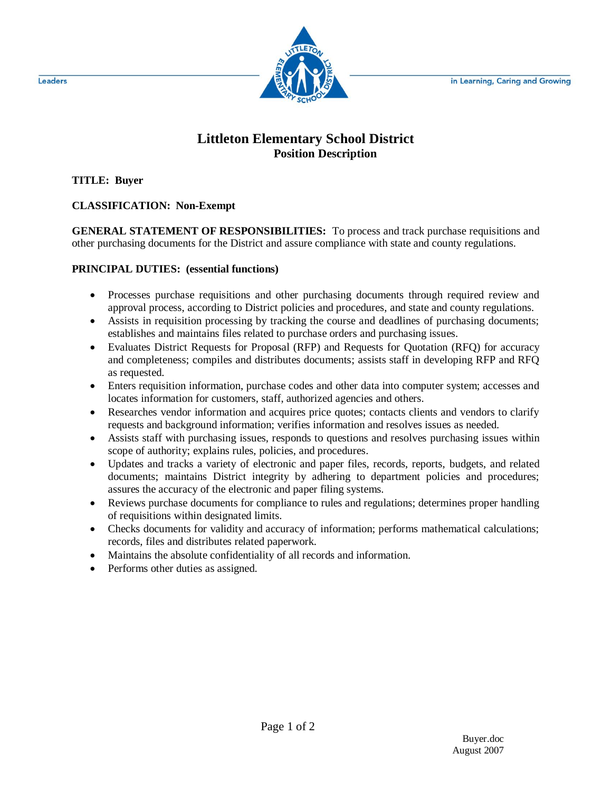in Learning, Caring and Growing



## **Littleton Elementary School District Position Description**

**TITLE: Buyer**

**CLASSIFICATION: Non-Exempt**

**GENERAL STATEMENT OF RESPONSIBILITIES:** To process and track purchase requisitions and other purchasing documents for the District and assure compliance with state and county regulations.

## **PRINCIPAL DUTIES: (essential functions)**

- Processes purchase requisitions and other purchasing documents through required review and approval process, according to District policies and procedures, and state and county regulations.
- Assists in requisition processing by tracking the course and deadlines of purchasing documents; establishes and maintains files related to purchase orders and purchasing issues.
- Evaluates District Requests for Proposal (RFP) and Requests for Quotation (RFQ) for accuracy and completeness; compiles and distributes documents; assists staff in developing RFP and RFQ as requested.
- Enters requisition information, purchase codes and other data into computer system; accesses and locates information for customers, staff, authorized agencies and others.
- Researches vendor information and acquires price quotes; contacts clients and vendors to clarify requests and background information; verifies information and resolves issues as needed.
- Assists staff with purchasing issues, responds to questions and resolves purchasing issues within scope of authority; explains rules, policies, and procedures.
- Updates and tracks a variety of electronic and paper files, records, reports, budgets, and related documents; maintains District integrity by adhering to department policies and procedures; assures the accuracy of the electronic and paper filing systems.
- Reviews purchase documents for compliance to rules and regulations; determines proper handling of requisitions within designated limits.
- Checks documents for validity and accuracy of information; performs mathematical calculations; records, files and distributes related paperwork.
- Maintains the absolute confidentiality of all records and information.
- Performs other duties as assigned.

Leaders